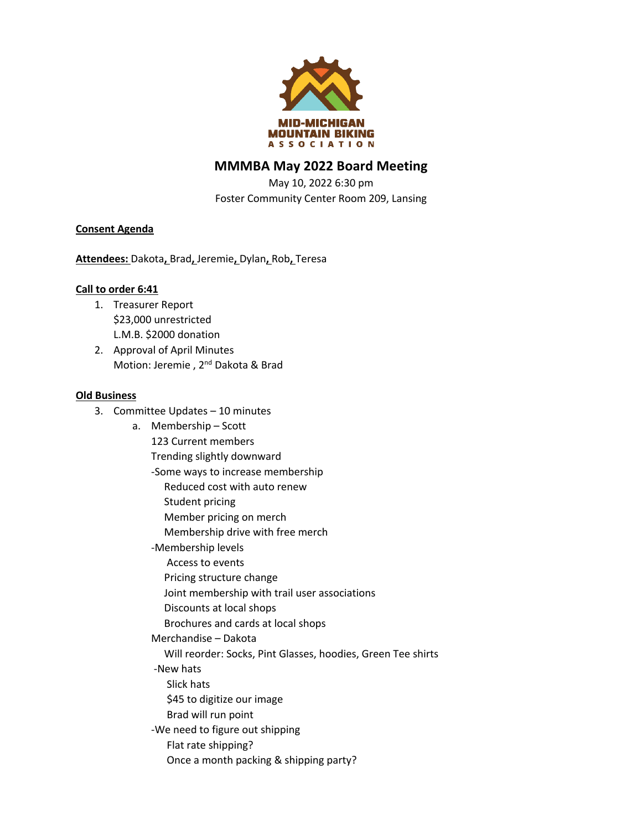

## **MMMBA May 2022 Board Meeting**

May 10, 2022 6:30 pm Foster Community Center Room 209, Lansing

### **Consent Agenda**

**Attendees:** Dakota**,** Brad**,** Jeremie**,** Dylan**,** Rob**,** Teresa

#### **Call to order 6:41**

- 1. Treasurer Report \$23,000 unrestricted L.M.B. \$2000 donation
- 2. Approval of April Minutes Motion: Jeremie, 2<sup>nd</sup> Dakota & Brad

#### **Old Business**

- 3. Committee Updates 10 minutes
	- a. Membership Scott 123 Current members Trending slightly downward -Some ways to increase membership Reduced cost with auto renew Student pricing Member pricing on merch Membership drive with free merch -Membership levels Access to events Pricing structure change Joint membership with trail user associations Discounts at local shops Brochures and cards at local shops Merchandise – Dakota Will reorder: Socks, Pint Glasses, hoodies, Green Tee shirts -New hats Slick hats \$45 to digitize our image Brad will run point -We need to figure out shipping Flat rate shipping? Once a month packing & shipping party?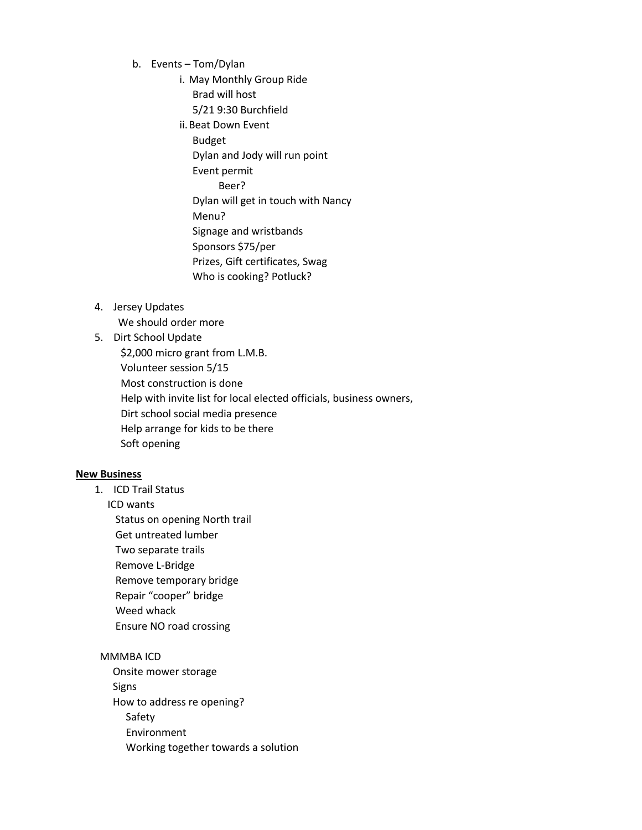- b. Events Tom/Dylan
	- i. May Monthly Group Ride Brad will host 5/21 9:30 Burchfield
	- ii.Beat Down Event Budget Dylan and Jody will run point Event permit Beer? Dylan will get in touch with Nancy Menu? Signage and wristbands Sponsors \$75/per Prizes, Gift certificates, Swag Who is cooking? Potluck?
- 4. Jersey Updates

We should order more

### 5. Dirt School Update \$2,000 micro grant from L.M.B. Volunteer session 5/15 Most construction is done Help with invite list for local elected officials, business owners, Dirt school social media presence Help arrange for kids to be there Soft opening

#### **New Business**

1. ICD Trail Status

ICD wants

 Status on opening North trail Get untreated lumber Two separate trails Remove L-Bridge Remove temporary bridge Repair "cooper" bridge Weed whack Ensure NO road crossing

# MMMBA ICD

 Onsite mower storage Signs How to address re opening? Safety Environment Working together towards a solution